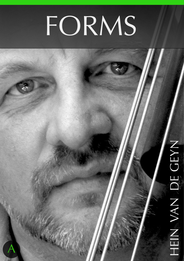## FORMS

ww.comprehensivebass.com 1 Hein Van de Geynnessmethod.com

# HEIN VAN DE GEYN HEIN VAN DE GEYN

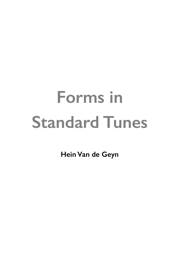**Hein Van de Geyn**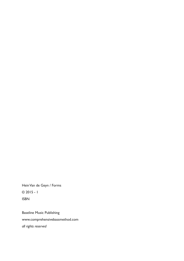Hein Van de Geyn / Forms © 2015 - 1 ISBN

Baseline Music Publishing www.comprehensivebassmethod.com *all rights reserved*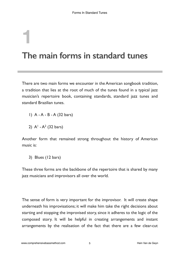## **1 The main forms in standard tunes**

There are two main forms we encounter in the American songbook tradition, a tradition that lies at the root of much of the tunes found in a typical jazz musician's repertoire book, containing standards, standard jazz tunes and standard Brazilian tunes.

- 1) A A B A (32 bars)
- 2)  $A^1 A^2$  (32 bars)

Another form that remained strong throughout the history of American music is:

3) Blues (12 bars)

These three forms are the backbone of the repertoire that is shared by many jazz musicians and improvisors all over the world.

The sense of form is very important for the improvisor. It will create shape underneath his improvisations; it will make him take the right decisions about starting and stopping the improvised story, since it adheres to the logic of the composed story. It will be helpful in creating arrangements and instant arrangements by the realisation of the fact that there are a few clear-cut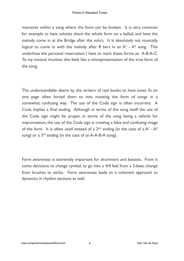moments within a song where the form can be broken. It is very common for example to have soloists share the whole form on a ballad, and have the melody come in at the Bridge after the solo's. It is absolutely not musically logical to come in with the melody after 8 bars in an  $A<sup>1</sup> - A<sup>2</sup>$  song. This underlines the personal reservation I have to mark these forms as: A-B-A-C. To my musical intuition this feels like a misrepresentation of the true form of the song.

The understandable desire by the writers of real books to have tunes fit on one page often forced them to into notating the form of songs in a somewhat confusing way. The use of the Coda sign is often incorrect. A Coda implies a final ending. Although in terms of the song itself the use of the Coda sign might be proper, in terms of the song being a vehicle for improvisation, the use of the Coda sign is creating a false and confusing image of the form. It is often used instead of a  $2<sup>nd</sup>$  ending (in the case of a A<sup>1</sup> - A<sup>2</sup> song) or a  $3^{rd}$  ending (in the case of an A-A-B-A song).

Form awareness is extremely important for drummers and bassists. From it come decisions to change cymbal, to go into a 4/4 feel from a 2-beat, change from brushes to sticks. Form awareness leads to a coherent approach to dynamics in rhythm sections as well.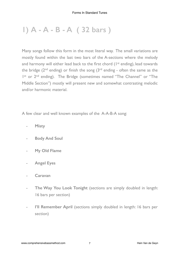### **1) A - A - B - A ( 32 bars )**

Many songs follow this form in the most literal way. The small variations are mostly found within the last two bars of the A-sections where the melody and harmony will either lead back to the first chord (1<sup>st</sup> ending), lead towards the bridge ( $2<sup>nd</sup>$  ending) or finish the song ( $3<sup>rd</sup>$  ending - often the same as the I<sup>st</sup> or 2<sup>nd</sup> ending). The Bridge (sometimes named "The Channel" or "The Middle Section") mostly will present new and somewhat contrasting melodic and/or harmonic material.

A few clear and well known examples of the A-A-B-A song:

- **Misty**
- **Body And Soul**
- **My Old Flame**
- **Angel Eyes**
- **Caravan**
- The Way You Look Tonight (sections are simply doubled in length: 16 bars per section)
- **I'll Remember April** (sections simply doubled in length: 16 bars per section)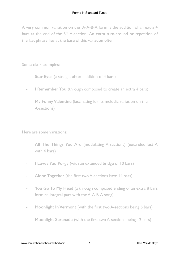A very common variation on the A-A-B-A form is the addition of an extra 4 bars at the end of the 3<sup>rd</sup> A-section. An extra turn-around or repetition of the last phrase lies at the base of this variation often.

Some clear examples:

- **Star Eyes** (a straight ahead addition of 4 bars)
- **I Remember You** (through composed to create an extra 4 bars)
- **My Funny Valentine** (fascinating for its melodic variation on the A-sections)

Here are some variations:

- **All The Things You Are** (modulating A-sections) (extended last A with 4 bars)
- **I Loves You Porgy** (with an extended bridge of 10 bars)
- **Alone Together** (the first two A-sections have 14 bars)
- You Go To My Head (a through composed ending of an extra 8 bars form an integral part with the A-A-B-A song)
- **Moonlight In Vermont** (with the first two A-sections being 6 bars)
- **Moonlight Serenade** (with the first two A-sections being 12 bars)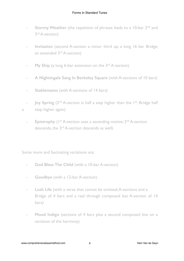- **Stormy Weather** (the repetition of phrases leads to a 10-bar 2<sup>nd</sup> and 3rd A-section)
- **Invitation** (second A-section a minor third up; a long 16 bar Bridge; an extended 3rd A-section)
- **My Ship** (a long 6-bar extension on the 3<sup>rd</sup> A-section)
- **A Nightingale Sang In Berkeley Square** (with A-sections of 10 bars)
- **Stablemates** (with A-sections of 14 bars)
- **Joy Spring** (2<sup>nd</sup> A-section is half a step higher than the 1<sup>st</sup>; Bridge half a step higher again)
	- **Epistrophy** (1<sup>st</sup> A-section uses a ascending motive; 2<sup>nd</sup> A-section descends, the 3rd A-section descends as well)

Some more and fascinating variations are:

- **God Bless The Child** (with a 10-bar A-section)
- **Goodbye** (with a 12-bar A-section)
- **Lush Life** (with a verse that cannot be omitted; A-sections and a Bridge of 4 bars and a real through composed last A-section of 14 bars)
- Mood Indigo (sections of 4 bars plus a second composed line on a variation of the harmony)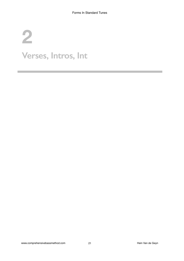## **2**  Verses, Intros, Int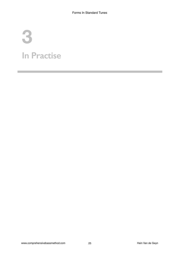## **3 In Practise**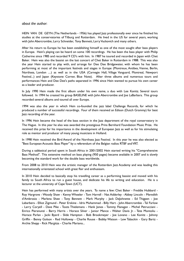#### *about the author*:

HEIN VAN DE GEYN (The Netherlands - 1956) has played Jazz professionally ever since he finished his studies at the conservatories of Tilburg and Rotterdam. He lived in the US for several years, working with John Abercrombie, Larry Schneider, Tony Bennett, Larry Vuckovich and many others.

After his return to Europe he has been establishing himself as one of the most sought after bass players in Europe. Hein's playing can be heard on some 100 recordings. He has been the bass player with Philip Catherine since 1985 and recorded 9 CD's with him. In 1987 he toured and recorded in Japan with Chet Baker. Hein was also the bassist on the last concert of Chet Baker in Rotterdam in 1988. This was also the year Hein started to play with, and arrange for Dee Dee Bridgewater, with whom he has been performing at most of the important festivals and stages in Europe (Montreux, Antibes, Vienne, Berlin, Northsea, London ....) as well as in the USA (Carnegie Hall, Village Vanguard, Montreal, Newport Festival...) and Japan (Keystone Corner, Blue Note). After three albums and numerous tours and performances Hein and Dee Dee's paths separated in 1996 since Hein wanted to pursue his own career as a leader and producer.

In July 1990 Hein made the first album under his own name, a duo with Lee Konitz. Several tours followed. In 1994 he created his group BASELINE with John Abercrombie and Joe LaBarbara. This group recorded several albums and toured all over Europe.

1994 was also the year in which Hein co-founded the jazz label Challenge Records, for which he produced a number of successful recordings. Four of them received an Edison (Dutch Grammy) for best Jazz recording of the year.

In 1996 Hein became the head of the bass section in the Jazz department of the royal conservatory in The Hague. In this year he also was awarded the prestigious Prins Bernhard Foundation Music Prize. He received this prize for his importance in the development of European Jazz as well as for his stimulating role as mentor and producer of many young musicians in Holland.

In 1998 Hein received the Bird Award of the Northsea Jazz Festival. In this year he was also elected as "Best European Acoustic Bass Player" by a referendum of the Belgian radios RTBF and VRT.

During a sabbatical period spent in South Africa in 2001/2002 Hein started writing his "Comprehensive Bass Method". This extensive method on bass playing (950 pages) became available in 2007 and is slowly becoming the standard work for the double bass worldwide.

From 2008 to 2010 Hein was the artistic manager of the Rotterdam Jazz Academy and was leading this internationally orientated school with great flair and enthusiasm.

In 2010 Hein decided to basically stop his travelling career as a performing bassist and moved with his family to South Africa to run a guest house, and dedicate his life to writing and education. He is a lecturer at the university of Cape Town (UCT).

Hein has performed with many artists over the years. To name a few: Chet Baker - Freddie Hubbard - Roy Hargrove - Woody Shaw - Kenny Wheeler - Tom Harrell - Nat Adderley - Abbey Lincoln - Meredith d'Ambrosio - Marlena Shaw - Tony Bennett - Mark Murphy - Jack DeJohnette - Ed Thigpen - Joe Labarbera - Elliot Zigmund - Peter Erskine - Idris Muhammad - Billy Hart - John Abercrombie - Tal Farlow - Larry Coryell - Dave Pike - Toots Thielemans - Hank Jones - Tommy Flanagan - Michel Petrucciani - Enrico Pieranunzi - Barry Harris - Horace Silver - Junior Mance - Walter Davis Jr. - Tete Montoliu - Horace Parlan - Jacki Byard - Slide Hampton - Bob Brookmeyer - Joe Lovano - Lee Konitz - Johnny Griffin - Benny Golson - Red Holloway - Charlie Rouse - Bobby Watson - Lew Tabackin - Gary Bartz - Archie Shepp - Rick Margitza - Charlie Mariano...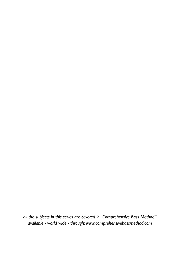*all the subjects in this series are covered in "Comprehensive Bass Method" available - world wide - through: [www.comprehensivebassmethod.com](http://www.comprehensivebassmethod.com)*